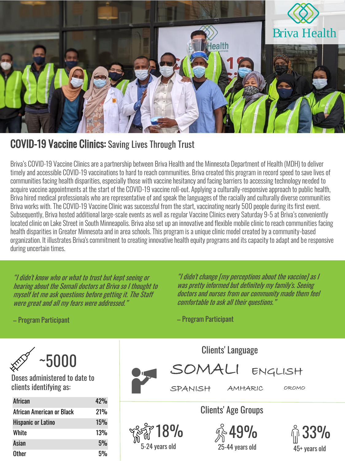

## COVID-19 Vaccine Clinics: Saving Lives Through Trust

Briva's COVID-19 Vaccine Clinics are a partnership between Briva Health and the Minnesota Department of Health (MDH) to deliver timely and accessible COVID-19 vaccinations to hard to reach communities. Briva created this program in record speed to save lives of communities facing health disparities, especially those with vaccine hesitancy and facing barriers to accessing technology needed to acquire vaccine appointments at the start of the COVID-19 vaccine roll-out. Applying a culturally-responsive approach to public health, Briva hired medical professionals who are representative of and speak the languages of the racially and culturally diverse communities Briva works with. The COVID-19 Vaccine Clinic was successful from the start, vaccinating nearly 500 people during its first event. Subsequently, Briva hosted additional large-scale events as well as regular Vaccine Clinics every Saturday 9-5 at Briva'sconveniently located clinic on Lake Street in South Minneapolis. Briva also set up an innovative and flexible mobile clinic to reach communities facing health disparities in Greater Minnesota and in area schools. This program is a unique clinic model created by a community-based organization. It illustrates Briva's commitment to creating innovative health equity programs and its capacity to adapt and be responsive during uncertain times.

"I didn't know who or what to trust but kept seeing or hearing about the Somali doctors at Briva so I thought to myself let me ask questions before getting it. The Staff were great and all my fears were addressed."

"I didn't change [my perceptions about the vaccine] as I was pretty informed but definitely my family's. Seeing doctors and nurses from our community made them feel comfortable to ask all their questions."

– Program Participant

Clients' Language SOMALI ENGLISH SPANISH AMHARIC OROMO Clients' Age Groups 18% 49% 33% 24 years old  $25$ -44 years old  $\overline{45}$ + years old

– Program Participant

~5000

Doses administered to date to clients identifying as:

| African                   | 42% |
|---------------------------|-----|
| African American or Black | 21% |
| <b>Hispanic or Latino</b> | 15% |
| White                     | 13% |
| Asian                     | 5%  |
| Other                     | 5%  |